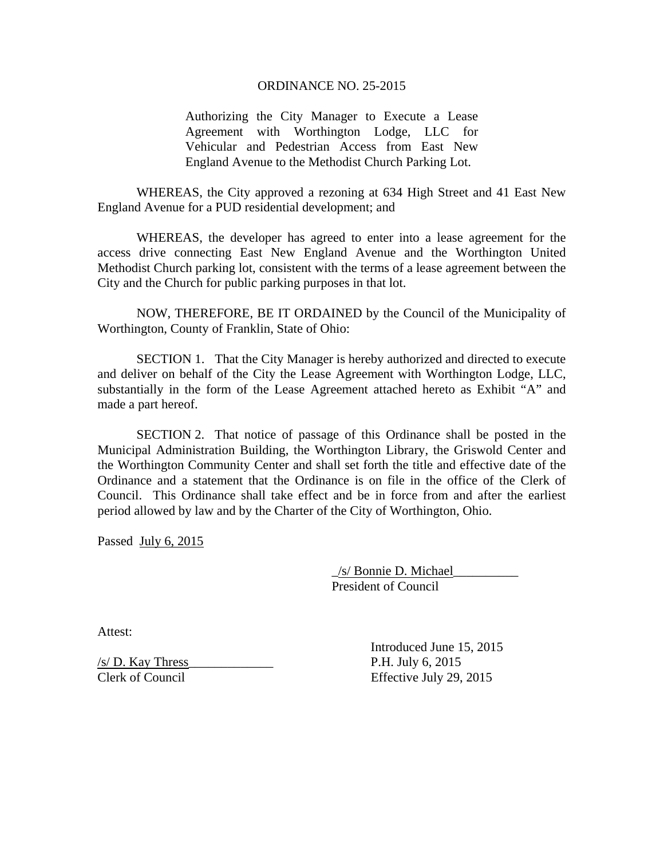## ORDINANCE NO. 25-2015

Authorizing the City Manager to Execute a Lease Agreement with Worthington Lodge, LLC for Vehicular and Pedestrian Access from East New England Avenue to the Methodist Church Parking Lot.

 WHEREAS, the City approved a rezoning at 634 High Street and 41 East New England Avenue for a PUD residential development; and

WHEREAS, the developer has agreed to enter into a lease agreement for the access drive connecting East New England Avenue and the Worthington United Methodist Church parking lot, consistent with the terms of a lease agreement between the City and the Church for public parking purposes in that lot.

 NOW, THEREFORE, BE IT ORDAINED by the Council of the Municipality of Worthington, County of Franklin, State of Ohio:

SECTION 1. That the City Manager is hereby authorized and directed to execute and deliver on behalf of the City the Lease Agreement with Worthington Lodge, LLC, substantially in the form of the Lease Agreement attached hereto as Exhibit "A" and made a part hereof.

SECTION 2. That notice of passage of this Ordinance shall be posted in the Municipal Administration Building, the Worthington Library, the Griswold Center and the Worthington Community Center and shall set forth the title and effective date of the Ordinance and a statement that the Ordinance is on file in the office of the Clerk of Council. This Ordinance shall take effect and be in force from and after the earliest period allowed by law and by the Charter of the City of Worthington, Ohio.

Passed July 6, 2015

 \_/s/ Bonnie D. Michael\_\_\_\_\_\_\_\_\_\_ President of Council

Attest:

 $\frac{1}{\sqrt{5}}$  D. Kay Thress Clerk of Council Effective July 29, 2015

Introduced June 15, 2015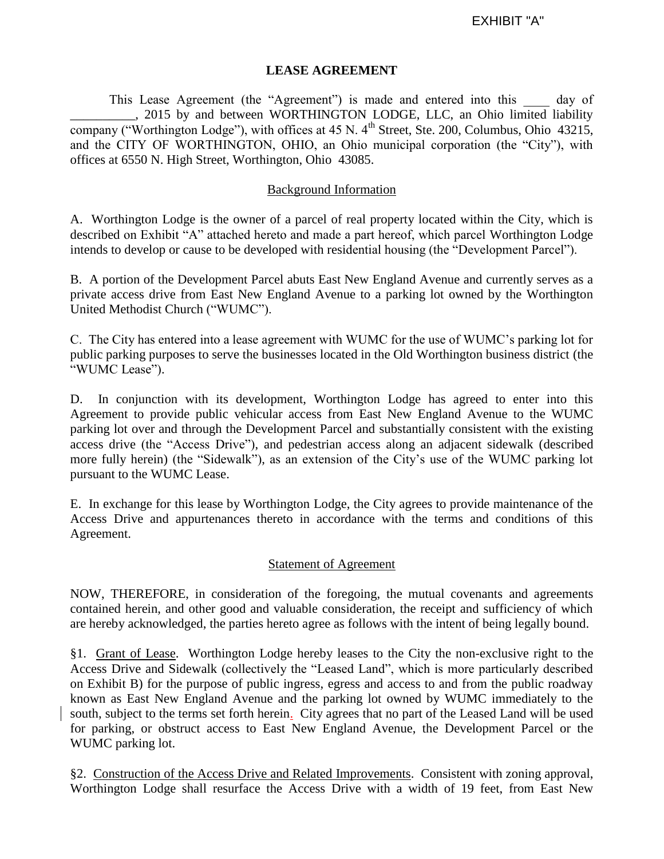## **LEASE AGREEMENT**

This Lease Agreement (the "Agreement") is made and entered into this day of . 2015 by and between WORTHINGTON LODGE, LLC, an Ohio limited liability company ("Worthington Lodge"), with offices at 45 N.  $4<sup>th</sup>$  Street, Ste. 200, Columbus, Ohio 43215, and the CITY OF WORTHINGTON, OHIO, an Ohio municipal corporation (the "City"), with offices at 6550 N. High Street, Worthington, Ohio 43085.

## Background Information

A. Worthington Lodge is the owner of a parcel of real property located within the City, which is described on Exhibit "A" attached hereto and made a part hereof, which parcel Worthington Lodge intends to develop or cause to be developed with residential housing (the "Development Parcel").

B. A portion of the Development Parcel abuts East New England Avenue and currently serves as a private access drive from East New England Avenue to a parking lot owned by the Worthington United Methodist Church ("WUMC").

C. The City has entered into a lease agreement with WUMC for the use of WUMC's parking lot for public parking purposes to serve the businesses located in the Old Worthington business district (the "WUMC Lease").

D. In conjunction with its development, Worthington Lodge has agreed to enter into this Agreement to provide public vehicular access from East New England Avenue to the WUMC parking lot over and through the Development Parcel and substantially consistent with the existing access drive (the "Access Drive"), and pedestrian access along an adjacent sidewalk (described more fully herein) (the "Sidewalk"), as an extension of the City's use of the WUMC parking lot pursuant to the WUMC Lease.

E. In exchange for this lease by Worthington Lodge, the City agrees to provide maintenance of the Access Drive and appurtenances thereto in accordance with the terms and conditions of this Agreement.

## Statement of Agreement

NOW, THEREFORE, in consideration of the foregoing, the mutual covenants and agreements contained herein, and other good and valuable consideration, the receipt and sufficiency of which are hereby acknowledged, the parties hereto agree as follows with the intent of being legally bound.

§1. Grant of Lease. Worthington Lodge hereby leases to the City the non-exclusive right to the Access Drive and Sidewalk (collectively the "Leased Land", which is more particularly described on Exhibit B) for the purpose of public ingress, egress and access to and from the public roadway known as East New England Avenue and the parking lot owned by WUMC immediately to the south, subject to the terms set forth herein. City agrees that no part of the Leased Land will be used for parking, or obstruct access to East New England Avenue, the Development Parcel or the WUMC parking lot.

§2. Construction of the Access Drive and Related Improvements. Consistent with zoning approval, Worthington Lodge shall resurface the Access Drive with a width of 19 feet, from East New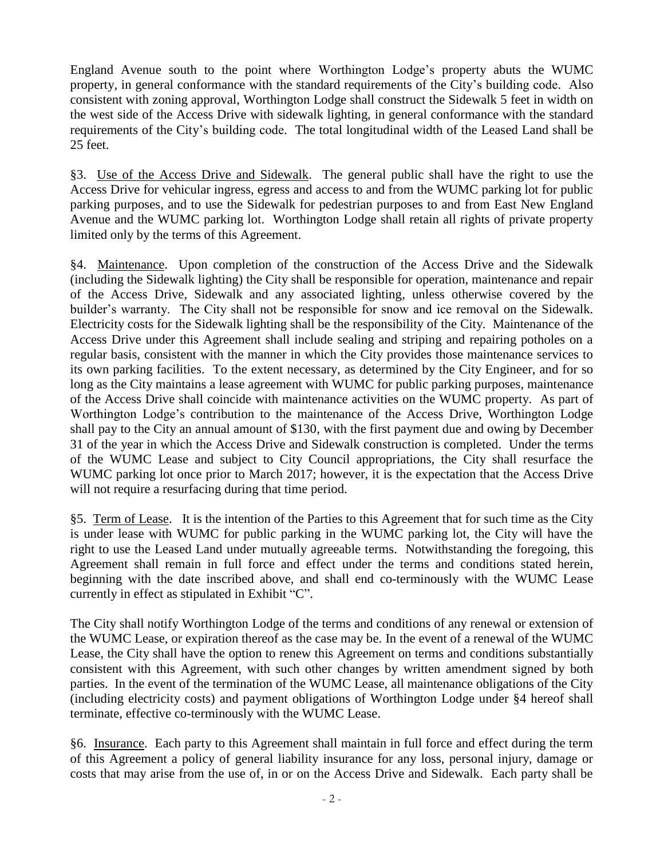England Avenue south to the point where Worthington Lodge's property abuts the WUMC property, in general conformance with the standard requirements of the City's building code. Also consistent with zoning approval, Worthington Lodge shall construct the Sidewalk 5 feet in width on the west side of the Access Drive with sidewalk lighting, in general conformance with the standard requirements of the City's building code. The total longitudinal width of the Leased Land shall be 25 feet.

§3. Use of the Access Drive and Sidewalk. The general public shall have the right to use the Access Drive for vehicular ingress, egress and access to and from the WUMC parking lot for public parking purposes, and to use the Sidewalk for pedestrian purposes to and from East New England Avenue and the WUMC parking lot. Worthington Lodge shall retain all rights of private property limited only by the terms of this Agreement.

§4. Maintenance. Upon completion of the construction of the Access Drive and the Sidewalk (including the Sidewalk lighting) the City shall be responsible for operation, maintenance and repair of the Access Drive, Sidewalk and any associated lighting, unless otherwise covered by the builder's warranty. The City shall not be responsible for snow and ice removal on the Sidewalk. Electricity costs for the Sidewalk lighting shall be the responsibility of the City. Maintenance of the Access Drive under this Agreement shall include sealing and striping and repairing potholes on a regular basis, consistent with the manner in which the City provides those maintenance services to its own parking facilities. To the extent necessary, as determined by the City Engineer, and for so long as the City maintains a lease agreement with WUMC for public parking purposes, maintenance of the Access Drive shall coincide with maintenance activities on the WUMC property. As part of Worthington Lodge's contribution to the maintenance of the Access Drive, Worthington Lodge shall pay to the City an annual amount of \$130, with the first payment due and owing by December 31 of the year in which the Access Drive and Sidewalk construction is completed. Under the terms of the WUMC Lease and subject to City Council appropriations, the City shall resurface the WUMC parking lot once prior to March 2017; however, it is the expectation that the Access Drive will not require a resurfacing during that time period.

§5. Term of Lease. It is the intention of the Parties to this Agreement that for such time as the City is under lease with WUMC for public parking in the WUMC parking lot, the City will have the right to use the Leased Land under mutually agreeable terms. Notwithstanding the foregoing, this Agreement shall remain in full force and effect under the terms and conditions stated herein, beginning with the date inscribed above, and shall end co-terminously with the WUMC Lease currently in effect as stipulated in Exhibit "C".

The City shall notify Worthington Lodge of the terms and conditions of any renewal or extension of the WUMC Lease, or expiration thereof as the case may be. In the event of a renewal of the WUMC Lease, the City shall have the option to renew this Agreement on terms and conditions substantially consistent with this Agreement, with such other changes by written amendment signed by both parties. In the event of the termination of the WUMC Lease, all maintenance obligations of the City (including electricity costs) and payment obligations of Worthington Lodge under §4 hereof shall terminate, effective co-terminously with the WUMC Lease.

§6. Insurance. Each party to this Agreement shall maintain in full force and effect during the term of this Agreement a policy of general liability insurance for any loss, personal injury, damage or costs that may arise from the use of, in or on the Access Drive and Sidewalk. Each party shall be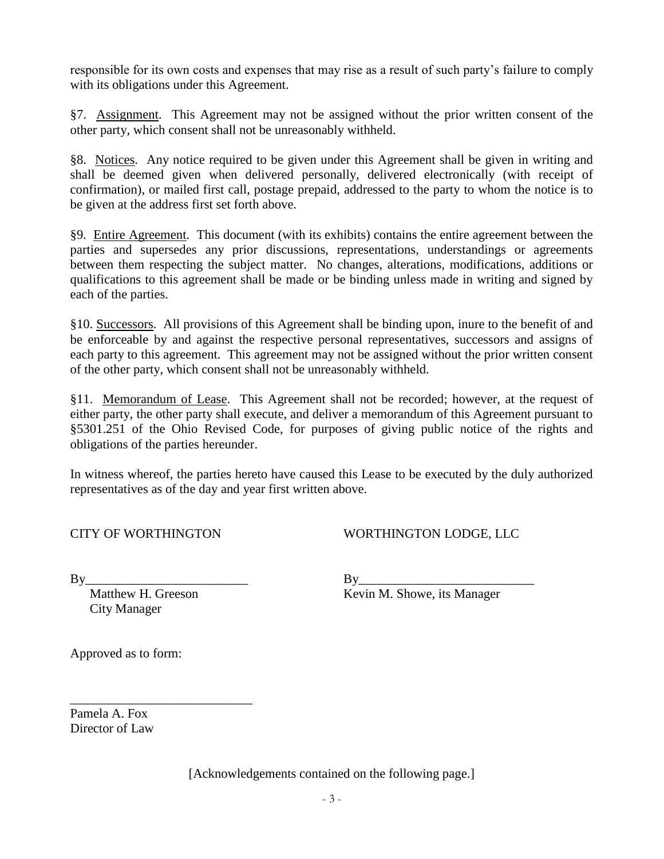responsible for its own costs and expenses that may rise as a result of such party's failure to comply with its obligations under this Agreement.

§7. Assignment. This Agreement may not be assigned without the prior written consent of the other party, which consent shall not be unreasonably withheld.

§8. Notices. Any notice required to be given under this Agreement shall be given in writing and shall be deemed given when delivered personally, delivered electronically (with receipt of confirmation), or mailed first call, postage prepaid, addressed to the party to whom the notice is to be given at the address first set forth above.

§9. Entire Agreement. This document (with its exhibits) contains the entire agreement between the parties and supersedes any prior discussions, representations, understandings or agreements between them respecting the subject matter. No changes, alterations, modifications, additions or qualifications to this agreement shall be made or be binding unless made in writing and signed by each of the parties.

§10. Successors. All provisions of this Agreement shall be binding upon, inure to the benefit of and be enforceable by and against the respective personal representatives, successors and assigns of each party to this agreement. This agreement may not be assigned without the prior written consent of the other party, which consent shall not be unreasonably withheld.

§11. Memorandum of Lease. This Agreement shall not be recorded; however, at the request of either party, the other party shall execute, and deliver a memorandum of this Agreement pursuant to §5301.251 of the Ohio Revised Code, for purposes of giving public notice of the rights and obligations of the parties hereunder.

In witness whereof, the parties hereto have caused this Lease to be executed by the duly authorized representatives as of the day and year first written above.

| <b>CITY OF WORTHINGTON</b> |  |
|----------------------------|--|
|----------------------------|--|

WORTHINGTON LODGE, LLC

City Manager

\_\_\_\_\_\_\_\_\_\_\_\_\_\_\_\_\_\_\_\_\_\_\_\_\_\_\_\_

 $\n \ \, \mathrm{By} \underline{\hspace{1.5cm}}$ 

Matthew H. Greeson Kevin M. Showe, its Manager

Approved as to form:

Pamela A. Fox Director of Law

[Acknowledgements contained on the following page.]